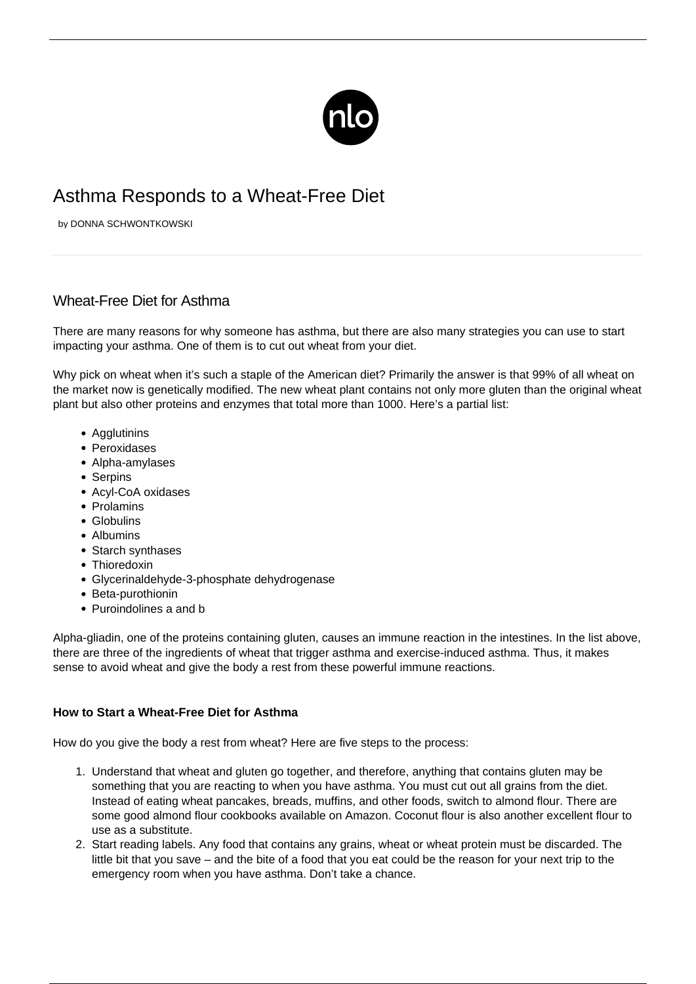

## Asthma Responds to a Wheat-Free Diet

by DONNA SCHWONTKOWSKI

## Wheat-Free Diet for Asthma

There are many reasons for why someone has asthma, but there are also many strategies you can use to start impacting your asthma. One of them is to cut out wheat from your diet.

Why pick on wheat when it's such a staple of the American diet? Primarily the answer is that 99% of all wheat on the market now is genetically modified. The new wheat plant contains not only more gluten than the original wheat plant but also other proteins and enzymes that total more than 1000. Here's a partial list:

- Agglutinins
- Peroxidases
- Alpha-amylases
- Serpins
- Acyl-CoA oxidases
- Prolamins
- Globulins
- Albumins
- Starch synthases
- Thioredoxin
- Glycerinaldehyde-3-phosphate dehydrogenase
- Beta-purothionin
- Puroindolines a and b

Alpha-gliadin, one of the proteins containing gluten, causes an immune reaction in the intestines. In the list above, there are three of the ingredients of wheat that trigger asthma and exercise-induced asthma. Thus, it makes sense to avoid wheat and give the body a rest from these powerful immune reactions.

## **How to Start a Wheat-Free Diet for Asthma**

How do you give the body a rest from wheat? Here are five steps to the process:

- 1. Understand that wheat and gluten go together, and therefore, anything that contains gluten may be something that you are reacting to when you have asthma. You must cut out all grains from the diet. Instead of eating wheat pancakes, breads, muffins, and other foods, switch to almond flour. There are some good almond flour cookbooks available on Amazon. Coconut flour is also another excellent flour to use as a substitute.
- 2. Start reading labels. Any food that contains any grains, wheat or wheat protein must be discarded. The little bit that you save – and the bite of a food that you eat could be the reason for your next trip to the emergency room when you have asthma. Don't take a chance.